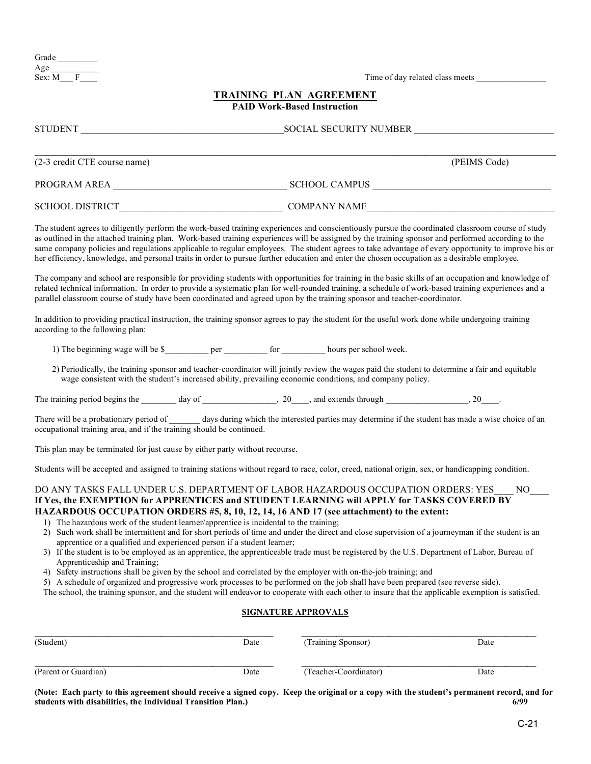Grade \_\_\_\_\_\_\_\_\_ Age  $\overline{\text{Sex: } M_F}$ 

Sex: M\_\_\_ F\_\_\_\_ Time of day related class meets \_\_\_\_\_\_\_\_\_\_\_\_\_\_\_\_

## **TRAINING PLAN AGREEMENT**

**PAID Work-Based Instruction**

|                      | <b>SOCIAL SECURITY NUMBER</b> |  |  |  |
|----------------------|-------------------------------|--|--|--|
|                      | (PEIMS Code)                  |  |  |  |
| <b>SCHOOL CAMPUS</b> |                               |  |  |  |
| <b>COMPANY NAME</b>  |                               |  |  |  |
|                      |                               |  |  |  |

The student agrees to diligently perform the work-based training experiences and conscientiously pursue the coordinated classroom course of study as outlined in the attached training plan. Work-based training experiences will be assigned by the training sponsor and performed according to the same company policies and regulations applicable to regular employees. The student agrees to take advantage of every opportunity to improve his or her efficiency, knowledge, and personal traits in order to pursue further education and enter the chosen occupation as a desirable employee.

The company and school are responsible for providing students with opportunities for training in the basic skills of an occupation and knowledge of related technical information. In order to provide a systematic plan for well-rounded training, a schedule of work-based training experiences and a parallel classroom course of study have been coordinated and agreed upon by the training sponsor and teacher-coordinator.

In addition to providing practical instruction, the training sponsor agrees to pay the student for the useful work done while undergoing training according to the following plan:

1) The beginning wage will be \$\_\_\_\_\_\_\_\_\_\_\_ per \_\_\_\_\_\_\_\_\_ for \_\_\_\_\_\_\_\_\_\_ hours per school week.

2) Periodically, the training sponsor and teacher-coordinator will jointly review the wages paid the student to determine a fair and equitable wage consistent with the student's increased ability, prevailing economic conditions, and company policy.

The training period begins the  $\_\_\_\_$  day of  $\_\_\_\_\_$ ,  $20\_\_\_\_$ , and extends through  $\_\_\_\_\_\_\_$ ,  $20\_\_\_\_\_$ ,

There will be a probationary period of \_\_\_\_\_\_\_ days during which the interested parties may determine if the student has made a wise choice of an occupational training area, and if the training should be continued.

This plan may be terminated for just cause by either party without recourse.

Students will be accepted and assigned to training stations without regard to race, color, creed, national origin, sex, or handicapping condition.

## DO ANY TASKS FALL UNDER U.S. DEPARTMENT OF LABOR HAZARDOUS OCCUPATION ORDERS: YES \_\_\_ NO **If Yes, the EXEMPTION for APPRENTICES and STUDENT LEARNING will APPLY for TASKS COVERED BY HAZARDOUS OCCUPATION ORDERS #5, 8, 10, 12, 14, 16 AND 17 (see attachment) to the extent:**

- 1) The hazardous work of the student learner/apprentice is incidental to the training;
- 2) Such work shall be intermittent and for short periods of time and under the direct and close supervision of a journeyman if the student is an apprentice or a qualified and experienced person if a student learner;
- 3) If the student is to be employed as an apprentice, the apprenticeable trade must be registered by the U.S. Department of Labor, Bureau of Apprenticeship and Training;
- 4) Safety instructions shall be given by the school and correlated by the employer with on-the-job training; and

5) A schedule of organized and progressive work processes to be performed on the job shall have been prepared (see reverse side).

The school, the training sponsor, and the student will endeavor to cooperate with each other to insure that the applicable exemption is satisfied.

## **SIGNATURE APPROVALS**

| (Student)            | Date | (Training Sponsor)    | Date |
|----------------------|------|-----------------------|------|
| (Parent or Guardian) | Date | (Teacher-Coordinator) | Date |

(Note: Each party to this agreement should receive a signed copy. Keep the original or a copy with the student's permanent record, and for **students with disabilities, the Individual Transition Plan.) 6/99**